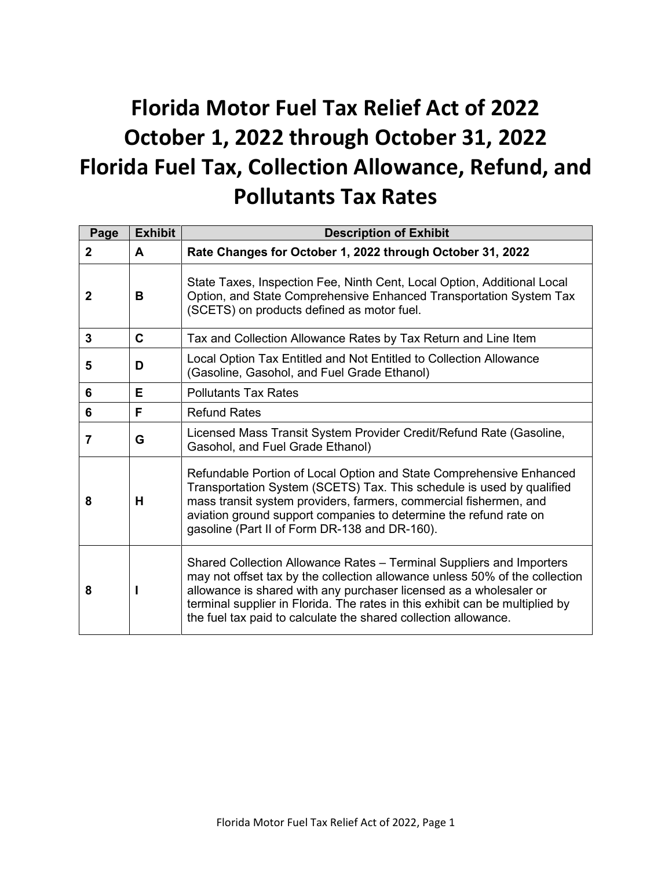# **Florida Motor Fuel Tax Relief Act of 2022 October 1, 2022 through October 31, 2022 Florida Fuel Tax, Collection Allowance, Refund, and Pollutants Tax Rates**

| Page         | <b>Exhibit</b> | <b>Description of Exhibit</b>                                                                                                                                                                                                                                                                                                                                                |
|--------------|----------------|------------------------------------------------------------------------------------------------------------------------------------------------------------------------------------------------------------------------------------------------------------------------------------------------------------------------------------------------------------------------------|
| $\mathbf{2}$ | A              | Rate Changes for October 1, 2022 through October 31, 2022                                                                                                                                                                                                                                                                                                                    |
| 2            | в              | State Taxes, Inspection Fee, Ninth Cent, Local Option, Additional Local<br>Option, and State Comprehensive Enhanced Transportation System Tax<br>(SCETS) on products defined as motor fuel.                                                                                                                                                                                  |
| 3            | $\mathbf C$    | Tax and Collection Allowance Rates by Tax Return and Line Item                                                                                                                                                                                                                                                                                                               |
| 5            | D              | Local Option Tax Entitled and Not Entitled to Collection Allowance<br>(Gasoline, Gasohol, and Fuel Grade Ethanol)                                                                                                                                                                                                                                                            |
| 6            | Е              | <b>Pollutants Tax Rates</b>                                                                                                                                                                                                                                                                                                                                                  |
| 6            | F              | <b>Refund Rates</b>                                                                                                                                                                                                                                                                                                                                                          |
| 7            | G              | Licensed Mass Transit System Provider Credit/Refund Rate (Gasoline,<br>Gasohol, and Fuel Grade Ethanol)                                                                                                                                                                                                                                                                      |
| 8            | н              | Refundable Portion of Local Option and State Comprehensive Enhanced<br>Transportation System (SCETS) Tax. This schedule is used by qualified<br>mass transit system providers, farmers, commercial fishermen, and<br>aviation ground support companies to determine the refund rate on<br>gasoline (Part II of Form DR-138 and DR-160).                                      |
| 8            |                | Shared Collection Allowance Rates – Terminal Suppliers and Importers<br>may not offset tax by the collection allowance unless 50% of the collection<br>allowance is shared with any purchaser licensed as a wholesaler or<br>terminal supplier in Florida. The rates in this exhibit can be multiplied by<br>the fuel tax paid to calculate the shared collection allowance. |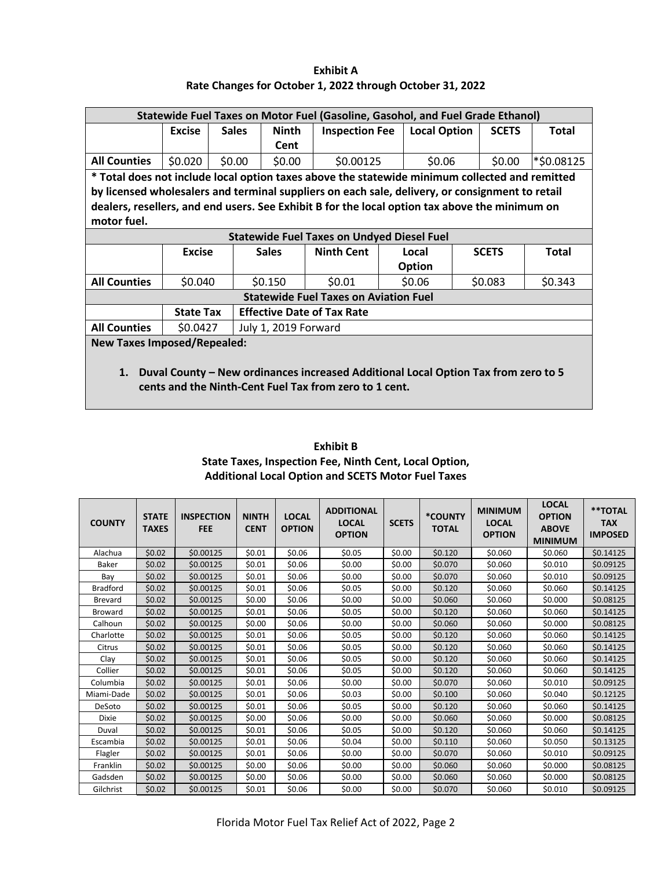**Exhibit A Rate Changes for October 1, 2022 through October 31, 2022**

| Statewide Fuel Taxes on Motor Fuel (Gasoline, Gasohol, and Fuel Grade Ethanol) |                  |              |                      |                                                        |  |                                                                                                 |              |              |
|--------------------------------------------------------------------------------|------------------|--------------|----------------------|--------------------------------------------------------|--|-------------------------------------------------------------------------------------------------|--------------|--------------|
|                                                                                | <b>Excise</b>    | <b>Sales</b> | <b>Ninth</b>         | <b>Inspection Fee</b>                                  |  | <b>Local Option</b>                                                                             | <b>SCETS</b> | <b>Total</b> |
|                                                                                |                  |              | Cent                 |                                                        |  |                                                                                                 |              |              |
| <b>All Counties</b>                                                            | \$0.020          | \$0.00       | \$0.00               | \$0.00125                                              |  | \$0.06                                                                                          | \$0.00       | *\$0.08125   |
|                                                                                |                  |              |                      |                                                        |  | * Total does not include local option taxes above the statewide minimum collected and remitted  |              |              |
|                                                                                |                  |              |                      |                                                        |  | by licensed wholesalers and terminal suppliers on each sale, delivery, or consignment to retail |              |              |
|                                                                                |                  |              |                      |                                                        |  | dealers, resellers, and end users. See Exhibit B for the local option tax above the minimum on  |              |              |
| motor fuel.                                                                    |                  |              |                      |                                                        |  |                                                                                                 |              |              |
|                                                                                |                  |              |                      | <b>Statewide Fuel Taxes on Undyed Diesel Fuel</b>      |  |                                                                                                 |              |              |
|                                                                                | <b>Excise</b>    |              | <b>Sales</b>         | <b>Ninth Cent</b>                                      |  | Local                                                                                           | <b>SCETS</b> | Total        |
|                                                                                |                  |              |                      |                                                        |  | Option                                                                                          |              |              |
| <b>All Counties</b>                                                            | \$0.040          |              | \$0.150              | \$0.01                                                 |  | \$0.06                                                                                          | \$0.083      | \$0.343      |
|                                                                                |                  |              |                      | <b>Statewide Fuel Taxes on Aviation Fuel</b>           |  |                                                                                                 |              |              |
|                                                                                | <b>State Tax</b> |              |                      | <b>Effective Date of Tax Rate</b>                      |  |                                                                                                 |              |              |
| <b>All Counties</b>                                                            | \$0.0427         |              | July 1, 2019 Forward |                                                        |  |                                                                                                 |              |              |
| <b>New Taxes Imposed/Repealed:</b>                                             |                  |              |                      |                                                        |  |                                                                                                 |              |              |
| 1.                                                                             |                  |              |                      | cents and the Ninth-Cent Fuel Tax from zero to 1 cent. |  | Duval County – New ordinances increased Additional Local Option Tax from zero to 5              |              |              |

| <b>Exhibit B</b>                                          |
|-----------------------------------------------------------|
| State Taxes, Inspection Fee, Ninth Cent, Local Option,    |
| <b>Additional Local Option and SCETS Motor Fuel Taxes</b> |

| <b>COUNTY</b>   | <b>STATE</b><br><b>TAXES</b> | <b>INSPECTION</b><br><b>FEE</b> | <b>NINTH</b><br><b>CENT</b> | <b>LOCAL</b><br><b>OPTION</b> | <b>ADDITIONAL</b><br><b>LOCAL</b><br><b>OPTION</b> | <b>SCETS</b> | *COUNTY<br><b>TOTAL</b> | <b>MINIMUM</b><br><b>LOCAL</b><br><b>OPTION</b> | <b>LOCAL</b><br><b>OPTION</b><br><b>ABOVE</b><br><b>MINIMUM</b> | **TOTAL<br><b>TAX</b><br><b>IMPOSED</b> |
|-----------------|------------------------------|---------------------------------|-----------------------------|-------------------------------|----------------------------------------------------|--------------|-------------------------|-------------------------------------------------|-----------------------------------------------------------------|-----------------------------------------|
| Alachua         | \$0.02                       | \$0.00125                       | \$0.01                      | \$0.06                        | \$0.05                                             | \$0.00       | \$0.120                 | \$0.060                                         | \$0.060                                                         | \$0.14125                               |
| Baker           | \$0.02                       | \$0.00125                       | \$0.01                      | \$0.06                        | \$0.00                                             | \$0.00       | \$0.070                 | \$0.060                                         | \$0.010                                                         | \$0.09125                               |
| Bay             | \$0.02                       | \$0.00125                       | \$0.01                      | \$0.06                        | \$0.00                                             | \$0.00       | \$0.070                 | \$0.060                                         | \$0.010                                                         | \$0.09125                               |
| <b>Bradford</b> | \$0.02                       | \$0.00125                       | \$0.01                      | \$0.06                        | \$0.05                                             | \$0.00       | \$0.120                 | \$0.060                                         | \$0.060                                                         | \$0.14125                               |
| <b>Brevard</b>  | \$0.02                       | \$0.00125                       | \$0.00                      | \$0.06                        | \$0.00                                             | \$0.00       | \$0.060                 | \$0.060                                         | \$0.000                                                         | \$0.08125                               |
| <b>Broward</b>  | \$0.02                       | \$0.00125                       | \$0.01                      | \$0.06                        | \$0.05                                             | \$0.00       | \$0.120                 | \$0.060                                         | \$0.060                                                         | \$0.14125                               |
| Calhoun         | \$0.02                       | \$0.00125                       | \$0.00                      | \$0.06                        | \$0.00                                             | \$0.00       | \$0.060                 | \$0.060                                         | \$0.000                                                         | \$0.08125                               |
| Charlotte       | \$0.02                       | \$0.00125                       | \$0.01                      | \$0.06                        | \$0.05                                             | \$0.00       | \$0.120                 | \$0.060                                         | \$0.060                                                         | \$0.14125                               |
| Citrus          | \$0.02                       | \$0.00125                       | \$0.01                      | \$0.06                        | \$0.05                                             | \$0.00       | \$0.120                 | \$0.060                                         | \$0.060                                                         | \$0.14125                               |
| Clay            | \$0.02                       | \$0.00125                       | \$0.01                      | \$0.06                        | \$0.05                                             | \$0.00       | \$0.120                 | \$0.060                                         | \$0.060                                                         | \$0.14125                               |
| Collier         | \$0.02                       | \$0.00125                       | \$0.01                      | \$0.06                        | \$0.05                                             | \$0.00       | \$0.120                 | \$0.060                                         | \$0.060                                                         | \$0.14125                               |
| Columbia        | \$0.02                       | \$0.00125                       | \$0.01                      | \$0.06                        | \$0.00                                             | \$0.00       | \$0.070                 | \$0.060                                         | \$0.010                                                         | \$0.09125                               |
| Miami-Dade      | \$0.02                       | \$0.00125                       | \$0.01                      | \$0.06                        | \$0.03                                             | \$0.00       | \$0.100                 | \$0.060                                         | \$0.040                                                         | \$0.12125                               |
| DeSoto          | \$0.02                       | \$0.00125                       | \$0.01                      | \$0.06                        | \$0.05                                             | \$0.00       | \$0.120                 | \$0.060                                         | \$0.060                                                         | \$0.14125                               |
| Dixie           | \$0.02                       | \$0.00125                       | \$0.00                      | \$0.06                        | \$0.00                                             | \$0.00       | \$0.060                 | \$0.060                                         | \$0.000                                                         | \$0.08125                               |
| Duval           | \$0.02                       | \$0.00125                       | \$0.01                      | \$0.06                        | \$0.05                                             | \$0.00       | \$0.120                 | \$0.060                                         | \$0.060                                                         | \$0.14125                               |
| Escambia        | \$0.02                       | \$0.00125                       | \$0.01                      | \$0.06                        | \$0.04                                             | \$0.00       | \$0.110                 | \$0.060                                         | \$0.050                                                         | \$0.13125                               |
| Flagler         | \$0.02                       | \$0.00125                       | \$0.01                      | \$0.06                        | \$0.00                                             | \$0.00       | \$0.070                 | \$0.060                                         | \$0.010                                                         | \$0.09125                               |
| Franklin        | \$0.02                       | \$0.00125                       | \$0.00                      | \$0.06                        | \$0.00                                             | \$0.00       | \$0.060                 | \$0.060                                         | \$0.000                                                         | \$0.08125                               |
| Gadsden         | \$0.02                       | \$0.00125                       | \$0.00                      | \$0.06                        | \$0.00                                             | \$0.00       | \$0.060                 | \$0.060                                         | \$0.000                                                         | \$0.08125                               |
| Gilchrist       | \$0.02                       | \$0.00125                       | \$0.01                      | \$0.06                        | \$0.00                                             | \$0.00       | \$0.070                 | \$0.060                                         | \$0.010                                                         | \$0.09125                               |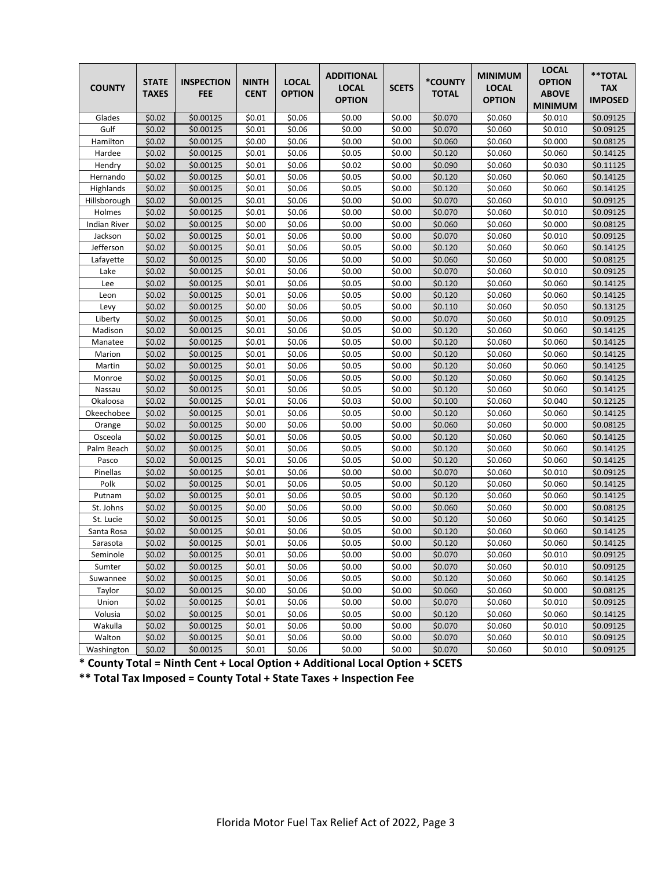| <b>COUNTY</b>       | <b>STATE</b><br><b>TAXES</b> | <b>INSPECTION</b><br><b>FEE</b> | <b>NINTH</b><br><b>CENT</b> | <b>LOCAL</b><br><b>OPTION</b> | <b>ADDITIONAL</b><br><b>LOCAL</b><br><b>OPTION</b> | <b>SCETS</b> | *COUNTY<br><b>TOTAL</b> | <b>MINIMUM</b><br><b>LOCAL</b><br><b>OPTION</b> | <b>LOCAL</b><br><b>OPTION</b><br><b>ABOVE</b><br><b>MINIMUM</b> | **TOTAL<br><b>TAX</b><br><b>IMPOSED</b> |
|---------------------|------------------------------|---------------------------------|-----------------------------|-------------------------------|----------------------------------------------------|--------------|-------------------------|-------------------------------------------------|-----------------------------------------------------------------|-----------------------------------------|
| Glades              | \$0.02                       | \$0.00125                       | \$0.01                      | \$0.06                        | \$0.00                                             | \$0.00       | \$0.070                 | \$0.060                                         | \$0.010                                                         | \$0.09125                               |
| Gulf                | \$0.02                       | \$0.00125                       | \$0.01                      | \$0.06                        | \$0.00                                             | \$0.00       | \$0.070                 | \$0.060                                         | \$0.010                                                         | \$0.09125                               |
| Hamilton            | \$0.02                       | \$0.00125                       | \$0.00                      | \$0.06                        | \$0.00                                             | \$0.00       | \$0.060                 | \$0.060                                         | \$0.000                                                         | \$0.08125                               |
| Hardee              | \$0.02                       | \$0.00125                       | \$0.01                      | \$0.06                        | \$0.05                                             | \$0.00       | \$0.120                 | \$0.060                                         | \$0.060                                                         | \$0.14125                               |
| Hendry              | \$0.02                       | \$0.00125                       | \$0.01                      | \$0.06                        | \$0.02                                             | \$0.00       | \$0.090                 | \$0.060                                         | \$0.030                                                         | \$0.11125                               |
| Hernando            | \$0.02                       | \$0.00125                       | \$0.01                      | \$0.06                        | \$0.05                                             | \$0.00       | \$0.120                 | \$0.060                                         | \$0.060                                                         | \$0.14125                               |
| Highlands           | \$0.02                       | \$0.00125                       | \$0.01                      | \$0.06                        | \$0.05                                             | \$0.00       | \$0.120                 | \$0.060                                         | \$0.060                                                         | \$0.14125                               |
| Hillsborough        | \$0.02                       | \$0.00125                       | \$0.01                      | \$0.06                        | \$0.00                                             | \$0.00       | \$0.070                 | \$0.060                                         | \$0.010                                                         | \$0.09125                               |
| Holmes              | \$0.02                       | \$0.00125                       | \$0.01                      | \$0.06                        | \$0.00                                             | \$0.00       | \$0.070                 | \$0.060                                         | \$0.010                                                         | \$0.09125                               |
| <b>Indian River</b> | \$0.02                       | \$0.00125                       | \$0.00                      | \$0.06                        | \$0.00                                             | \$0.00       | \$0.060                 | \$0.060                                         | \$0.000                                                         | \$0.08125                               |
| Jackson             | \$0.02                       | \$0.00125                       | \$0.01                      | \$0.06                        | \$0.00                                             | \$0.00       | \$0.070                 | \$0.060                                         | \$0.010                                                         | \$0.09125                               |
| Jefferson           | \$0.02                       | \$0.00125                       | \$0.01                      | \$0.06                        | \$0.05                                             | \$0.00       | \$0.120                 | \$0.060                                         | \$0.060                                                         | \$0.14125                               |
| Lafayette           | \$0.02                       | \$0.00125                       | \$0.00                      | \$0.06                        | \$0.00                                             | \$0.00       | \$0.060                 | \$0.060                                         | \$0.000                                                         | \$0.08125                               |
| Lake                | \$0.02                       | \$0.00125                       | \$0.01                      | \$0.06                        | \$0.00                                             | \$0.00       | \$0.070                 | \$0.060                                         | \$0.010                                                         | \$0.09125                               |
| Lee                 | \$0.02                       | \$0.00125                       | \$0.01                      | \$0.06                        | \$0.05                                             | \$0.00       | \$0.120                 | \$0.060                                         | \$0.060                                                         | \$0.14125                               |
| Leon                | \$0.02                       | \$0.00125                       | \$0.01                      | \$0.06                        | \$0.05                                             | \$0.00       | \$0.120                 | \$0.060                                         | \$0.060                                                         | \$0.14125                               |
| Levy                | \$0.02                       | \$0.00125                       | \$0.00                      | \$0.06                        | \$0.05                                             | \$0.00       | \$0.110                 | \$0.060                                         | \$0.050                                                         | \$0.13125                               |
| Liberty             | \$0.02                       | \$0.00125                       | \$0.01                      | \$0.06                        | \$0.00                                             | \$0.00       | \$0.070                 | \$0.060                                         | \$0.010                                                         | \$0.09125                               |
| Madison             | \$0.02                       | \$0.00125                       | \$0.01                      | \$0.06                        | \$0.05                                             | \$0.00       | \$0.120                 | \$0.060                                         | \$0.060                                                         | \$0.14125                               |
| Manatee             | \$0.02                       | \$0.00125                       | \$0.01                      | \$0.06                        | \$0.05                                             | 50.00        | \$0.120                 | \$0.060                                         | \$0.060                                                         | \$0.14125                               |
| Marion              | \$0.02                       | \$0.00125                       | \$0.01                      | \$0.06                        | \$0.05                                             | \$0.00       | \$0.120                 | \$0.060                                         | \$0.060                                                         | \$0.14125                               |
| Martin              | \$0.02                       | \$0.00125                       | \$0.01                      | \$0.06                        | \$0.05                                             | \$0.00       | \$0.120                 | \$0.060                                         | \$0.060                                                         | \$0.14125                               |
| Monroe              | \$0.02                       | \$0.00125                       | \$0.01                      | \$0.06                        | \$0.05                                             | \$0.00       | \$0.120                 | \$0.060                                         | \$0.060                                                         | \$0.14125                               |
| Nassau              | \$0.02                       | \$0.00125                       | \$0.01                      | \$0.06                        | \$0.05                                             | \$0.00       | \$0.120                 | \$0.060                                         | \$0.060                                                         | \$0.14125                               |
| Okaloosa            | \$0.02                       | \$0.00125                       | \$0.01                      | \$0.06                        | \$0.03                                             | \$0.00       | \$0.100                 | \$0.060                                         | \$0.040                                                         | \$0.12125                               |
| Okeechobee          | \$0.02                       | \$0.00125                       | \$0.01                      | \$0.06                        | \$0.05                                             | \$0.00       | \$0.120                 | \$0.060                                         | \$0.060                                                         | \$0.14125                               |
| Orange              | \$0.02                       | \$0.00125                       | \$0.00                      | \$0.06                        | \$0.00                                             | \$0.00       | \$0.060                 | \$0.060                                         | \$0.000                                                         | \$0.08125                               |
| Osceola             | \$0.02                       | \$0.00125                       | \$0.01                      | \$0.06                        | \$0.05                                             | \$0.00       | \$0.120                 | \$0.060                                         | \$0.060                                                         | \$0.14125                               |
| Palm Beach          | \$0.02                       | \$0.00125                       | \$0.01                      | \$0.06                        | \$0.05                                             | \$0.00       | \$0.120                 | \$0.060                                         | \$0.060                                                         | \$0.14125                               |
| Pasco               | \$0.02                       | \$0.00125                       | \$0.01                      | \$0.06                        | \$0.05                                             | \$0.00       | \$0.120                 | \$0.060                                         | \$0.060                                                         | \$0.14125                               |
| Pinellas            | \$0.02                       | \$0.00125                       | \$0.01                      | \$0.06                        | \$0.00                                             | \$0.00       | \$0.070                 | \$0.060                                         | \$0.010                                                         | \$0.09125                               |
| Polk                | \$0.02                       | \$0.00125                       | \$0.01                      | \$0.06                        | \$0.05                                             | \$0.00       | \$0.120                 | \$0.060                                         | \$0.060                                                         | \$0.14125                               |
| Putnam              | \$0.02                       | \$0.00125                       | \$0.01                      | \$0.06                        | \$0.05                                             | \$0.00       | \$0.120                 | \$0.060                                         | \$0.060                                                         | \$0.14125                               |
| St. Johns           | \$0.02                       | \$0.00125                       | \$0.00                      | \$0.06                        | \$0.00                                             | \$0.00       | \$0.060                 | \$0.060                                         | \$0.000                                                         | \$0.08125                               |
| St. Lucie           | \$0.02                       | \$0.00125                       | \$0.01                      | \$0.06                        | \$0.05                                             | \$0.00       | \$0.120                 | \$0.060                                         | \$0.060                                                         | \$0.14125                               |
| Santa Rosa          | \$0.02                       | \$0.00125                       | \$0.01                      | \$0.06                        | \$0.05                                             | \$0.00       | \$0.120                 | \$0.060                                         | \$0.060                                                         | \$0.14125                               |
| Sarasota            | \$0.02                       | \$0.00125                       | \$0.01                      | \$0.06                        | \$0.05                                             | \$0.00       | \$0.120                 | \$0.060                                         | \$0.060                                                         | \$0.14125                               |
| Seminole            | \$0.02                       | \$0.00125                       | \$0.01                      | \$0.06                        | \$0.00                                             | \$0.00       | \$0.070                 | \$0.060                                         | \$0.010                                                         | \$0.09125                               |
| Sumter              | \$0.02                       | \$0.00125                       | \$0.01                      | \$0.06                        | \$0.00                                             | \$0.00       | \$0.070                 | \$0.060                                         | \$0.010                                                         | \$0.09125                               |
| Suwannee            | \$0.02                       | \$0.00125                       | \$0.01                      | \$0.06                        | \$0.05                                             | \$0.00       | \$0.120                 | \$0.060                                         | \$0.060                                                         | \$0.14125                               |
| Taylor              | \$0.02                       | \$0.00125                       | \$0.00                      | \$0.06                        | \$0.00                                             | \$0.00       | \$0.060                 | \$0.060                                         | \$0.000                                                         | \$0.08125                               |
| Union               | \$0.02                       | \$0.00125                       | \$0.01                      | \$0.06                        | \$0.00                                             | \$0.00       | \$0.070                 | \$0.060                                         | \$0.010                                                         | \$0.09125                               |
| Volusia             | \$0.02                       | \$0.00125                       | \$0.01                      | \$0.06                        | \$0.05                                             | \$0.00       | \$0.120                 | \$0.060                                         | \$0.060                                                         | \$0.14125                               |
| Wakulla             | \$0.02                       | \$0.00125                       | \$0.01                      | \$0.06                        | \$0.00                                             | \$0.00       | \$0.070                 | \$0.060                                         | \$0.010                                                         | \$0.09125                               |
| Walton              | \$0.02                       | \$0.00125                       | \$0.01                      | \$0.06                        | \$0.00                                             | \$0.00       | \$0.070                 | \$0.060                                         | \$0.010                                                         | \$0.09125                               |
| Washington          | \$0.02                       | \$0.00125                       | \$0.01                      | \$0.06                        | \$0.00                                             | \$0.00       | \$0.070                 | \$0.060                                         | \$0.010                                                         | \$0.09125                               |

**\* County Total = Ninth Cent + Local Option + Additional Local Option + SCETS**

**\*\* Total Tax Imposed = County Total + State Taxes + Inspection Fee**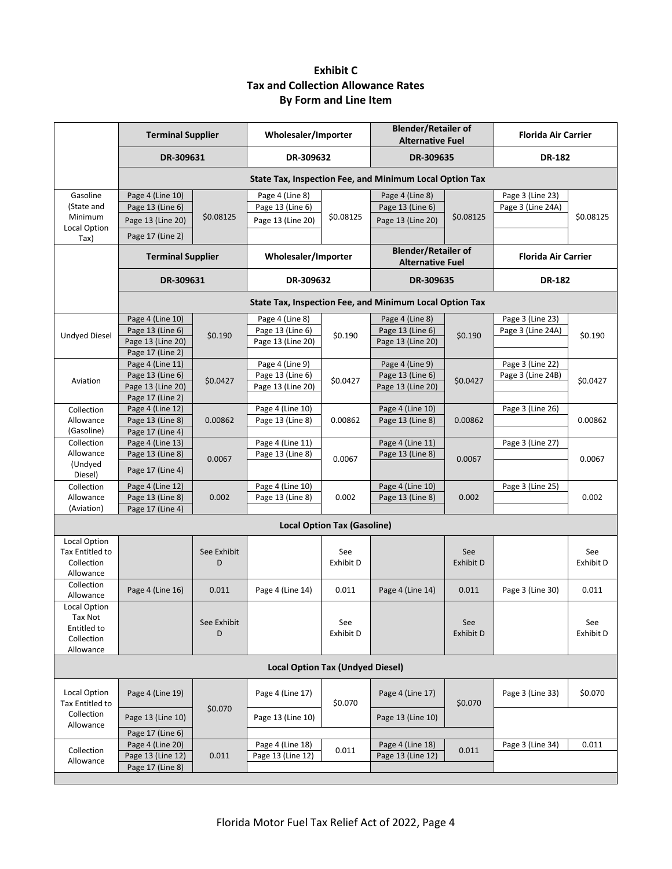# **Exhibit C Tax and Collection Allowance Rates By Form and Line Item**

|                                                                   | <b>Terminal Supplier</b>                                                      | Wholesaler/Importer                             |                                                          |                                                       | <b>Blender/Retailer of</b><br><b>Alternative Fuel</b>    |                            | <b>Florida Air Carrier</b>            |                  |
|-------------------------------------------------------------------|-------------------------------------------------------------------------------|-------------------------------------------------|----------------------------------------------------------|-------------------------------------------------------|----------------------------------------------------------|----------------------------|---------------------------------------|------------------|
|                                                                   | DR-309631                                                                     |                                                 | DR-309632                                                |                                                       | DR-309635                                                |                            | <b>DR-182</b>                         |                  |
|                                                                   |                                                                               |                                                 |                                                          |                                                       | State Tax, Inspection Fee, and Minimum Local Option Tax  |                            |                                       |                  |
| Gasoline<br>(State and<br>Minimum<br>Local Option                 | Page 4 (Line 10)<br>Page 13 (Line 6)<br>Page 13 (Line 20)<br>Page 17 (Line 2) | \$0.08125                                       | Page 4 (Line 8)<br>Page 13 (Line 6)<br>Page 13 (Line 20) | \$0.08125                                             | Page 4 (Line 8)<br>Page 13 (Line 6)<br>Page 13 (Line 20) | \$0.08125                  | Page 3 (Line 23)<br>Page 3 (Line 24A) | \$0.08125        |
| Tax)                                                              |                                                                               | Wholesaler/Importer<br><b>Terminal Supplier</b> |                                                          | <b>Blender/Retailer of</b><br><b>Alternative Fuel</b> |                                                          | <b>Florida Air Carrier</b> |                                       |                  |
|                                                                   | DR-309631                                                                     |                                                 | DR-309632                                                |                                                       | DR-309635                                                |                            | <b>DR-182</b>                         |                  |
|                                                                   |                                                                               |                                                 |                                                          |                                                       | State Tax, Inspection Fee, and Minimum Local Option Tax  |                            |                                       |                  |
| <b>Undyed Diesel</b>                                              | Page 4 (Line 10)<br>Page 13 (Line 6)<br>Page 13 (Line 20)<br>Page 17 (Line 2) | \$0.190                                         | Page 4 (Line 8)<br>Page 13 (Line 6)<br>Page 13 (Line 20) | \$0.190                                               | Page 4 (Line 8)<br>Page 13 (Line 6)<br>Page 13 (Line 20) | \$0.190                    | Page 3 (Line 23)<br>Page 3 (Line 24A) | \$0.190          |
| Aviation                                                          | Page 4 (Line 11)<br>Page 13 (Line 6)<br>Page 13 (Line 20)<br>Page 17 (Line 2) | \$0.0427                                        | Page 4 (Line 9)<br>Page 13 (Line 6)<br>Page 13 (Line 20) | \$0.0427                                              | Page 4 (Line 9)<br>Page 13 (Line 6)<br>Page 13 (Line 20) | \$0.0427                   | Page 3 (Line 22)<br>Page 3 (Line 24B) | \$0.0427         |
| Collection<br>Allowance<br>(Gasoline)                             | Page 4 (Line 12)<br>Page 13 (Line 8)<br>Page 17 (Line 4)                      | 0.00862                                         | Page 4 (Line 10)<br>Page 13 (Line 8)                     | 0.00862                                               | Page 4 (Line 10)<br>Page 13 (Line 8)                     | 0.00862                    | Page 3 (Line 26)                      | 0.00862          |
| Collection<br>Allowance<br>(Undyed<br>Diesel)                     | Page 4 (Line 13)<br>Page 13 (Line 8)<br>Page 17 (Line 4)                      | 0.0067                                          | Page 4 (Line 11)<br>Page 13 (Line 8)                     | 0.0067                                                | Page 4 (Line 11)<br>Page 13 (Line 8)                     | 0.0067                     | Page 3 (Line 27)                      | 0.0067           |
| Collection<br>Allowance<br>(Aviation)                             | Page 4 (Line 12)<br>Page 13 (Line 8)<br>Page 17 (Line 4)                      | 0.002                                           | Page 4 (Line 10)<br>Page 13 (Line 8)                     | 0.002                                                 | Page 4 (Line 10)<br>Page 13 (Line 8)                     | 0.002                      | Page 3 (Line 25)                      | 0.002            |
|                                                                   |                                                                               |                                                 |                                                          | <b>Local Option Tax (Gasoline)</b>                    |                                                          |                            |                                       |                  |
| Local Option<br>Tax Entitled to<br>Collection<br>Allowance        |                                                                               | See Exhibit<br>D                                |                                                          | See<br>Exhibit D                                      |                                                          | See<br>Exhibit D           |                                       | See<br>Exhibit D |
| Collection<br>Allowance                                           | Page 4 (Line 16)                                                              | 0.011                                           | Page 4 (Line 14)                                         | 0.011                                                 | Page 4 (Line 14)                                         | 0.011                      | Page 3 (Line 30)                      | 0.011            |
| Local Option<br>Tax Not<br>Entitled to<br>Collection<br>Allowance |                                                                               | See Exhibit<br>D                                |                                                          | See<br>Exhibit D                                      |                                                          | See<br>Exhibit D           |                                       | See<br>Exhibit D |
|                                                                   |                                                                               |                                                 | <b>Local Option Tax (Undyed Diesel)</b>                  |                                                       |                                                          |                            |                                       |                  |
| Local Option<br>Tax Entitled to                                   | Page 4 (Line 19)                                                              | \$0.070                                         | Page 4 (Line 17)                                         | \$0.070                                               | Page 4 (Line 17)                                         | \$0.070                    | Page 3 (Line 33)                      | \$0.070          |
| Collection<br>Allowance                                           | Page 13 (Line 10)<br>Page 17 (Line 6)                                         |                                                 | Page 13 (Line 10)                                        |                                                       | Page 13 (Line 10)                                        |                            |                                       |                  |
| Collection<br>Allowance                                           | Page 4 (Line 20)<br>Page 13 (Line 12)<br>Page 17 (Line 8)                     | 0.011                                           | Page 4 (Line 18)<br>Page 13 (Line 12)                    | 0.011                                                 | Page 4 (Line 18)<br>Page 13 (Line 12)                    | 0.011                      | Page 3 (Line 34)                      | 0.011            |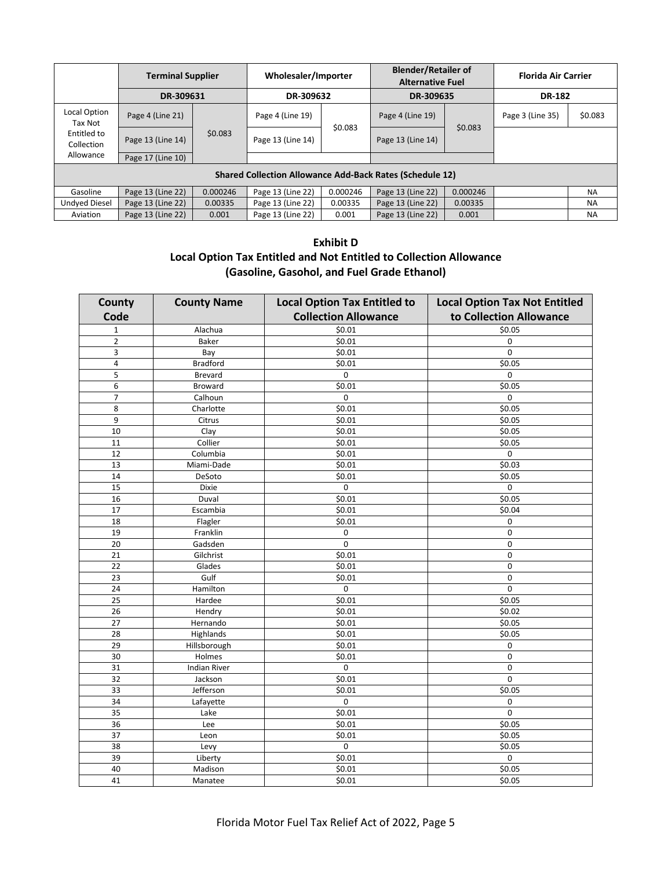|                                                                 | <b>Terminal Supplier</b> |          | Wholesaler/Importer |          | <b>Blender/Retailer of</b><br><b>Alternative Fuel</b> |          | <b>Florida Air Carrier</b> |           |
|-----------------------------------------------------------------|--------------------------|----------|---------------------|----------|-------------------------------------------------------|----------|----------------------------|-----------|
|                                                                 | DR-309631                |          | DR-309632           |          | DR-309635                                             |          | <b>DR-182</b>              |           |
| Local Option<br>Tax Not                                         | Page 4 (Line 21)         |          | Page 4 (Line 19)    |          | Page 4 (Line 19)                                      |          | Page 3 (Line 35)           | \$0.083   |
| Entitled to<br>Collection                                       | Page 13 (Line 14)        | \$0.083  | Page 13 (Line 14)   | \$0.083  | Page 13 (Line 14)                                     | \$0.083  |                            |           |
| Allowance                                                       | Page 17 (Line 10)        |          |                     |          |                                                       |          |                            |           |
| <b>Shared Collection Allowance Add-Back Rates (Schedule 12)</b> |                          |          |                     |          |                                                       |          |                            |           |
| Gasoline                                                        | Page 13 (Line 22)        | 0.000246 | Page 13 (Line 22)   | 0.000246 | Page 13 (Line 22)                                     | 0.000246 |                            | <b>NA</b> |
| <b>Undved Diesel</b>                                            | Page 13 (Line 22)        | 0.00335  | Page 13 (Line 22)   | 0.00335  | Page 13 (Line 22)                                     | 0.00335  |                            | <b>NA</b> |
| Aviation                                                        | Page 13 (Line 22)        | 0.001    | Page 13 (Line 22)   | 0.001    | Page 13 (Line 22)                                     | 0.001    |                            | <b>NA</b> |

# **Exhibit D Local Option Tax Entitled and Not Entitled to Collection Allowance (Gasoline, Gasohol, and Fuel Grade Ethanol)**

| County          | <b>County Name</b>  | <b>Local Option Tax Entitled to</b> | <b>Local Option Tax Not Entitled</b> |
|-----------------|---------------------|-------------------------------------|--------------------------------------|
| Code            |                     | <b>Collection Allowance</b>         | to Collection Allowance              |
| $\mathbf 1$     | Alachua             | \$0.01                              | \$0.05                               |
| $\overline{2}$  | Baker               | \$0.01                              | $\mathbf 0$                          |
| 3               | Bay                 | \$0.01                              | $\pmb{0}$                            |
| 4               | <b>Bradford</b>     | \$0.01                              | \$0.05                               |
| 5               | <b>Brevard</b>      | $\pmb{0}$                           | $\mathbf 0$                          |
| 6               | Broward             | \$0.01                              | \$0.05                               |
| $\overline{7}$  | Calhoun             | $\mathbf 0$                         | $\mathbf 0$                          |
| 8               | Charlotte           | \$0.01                              | \$0.05                               |
| 9               | Citrus              | \$0.01                              | \$0.05                               |
| 10              | Clay                | \$0.01                              | 50.05                                |
| 11              | Collier             | \$0.01                              | \$0.05                               |
| 12              | Columbia            | \$0.01                              | $\pmb{0}$                            |
| 13              | Miami-Dade          | \$0.01                              | \$0.03                               |
| 14              | DeSoto              | \$0.01                              | \$0.05                               |
| 15              | Dixie               | 0                                   | 0                                    |
| 16              | Duval               | \$0.01                              | \$0.05                               |
| 17              | Escambia            | \$0.01                              | \$0.04                               |
| 18              | Flagler             | \$0.01                              | 0                                    |
| 19              | Franklin            | 0                                   | 0                                    |
| 20              | Gadsden             | $\mathbf 0$                         | 0                                    |
| 21              | Gilchrist           | \$0.01                              | $\mathbf 0$                          |
| 22              | Glades              | \$0.01                              | $\pmb{0}$                            |
| 23              | Gulf                | \$0.01                              | 0                                    |
| 24              | Hamilton            | 0                                   | 0                                    |
| 25              | Hardee              | \$0.01                              | \$0.05                               |
| 26              | Hendry              | \$0.01                              | \$0.02                               |
| $\overline{27}$ | Hernando            | \$0.01                              | \$0.05                               |
| 28              | Highlands           | \$0.01                              | \$0.05                               |
| 29              | Hillsborough        | \$0.01                              | 0                                    |
| 30              | Holmes              | \$0.01                              | $\pmb{0}$                            |
| 31              | <b>Indian River</b> | 0                                   | $\mathbf 0$                          |
| 32              | Jackson             | \$0.01                              | 0                                    |
| 33              | Jefferson           | \$0.01                              | \$0.05                               |
| 34              | Lafayette           | 0                                   | 0                                    |
| 35              | Lake                | \$0.01                              | $\pmb{0}$                            |
| 36              | Lee                 | \$0.01                              | \$0.05                               |
| $\overline{37}$ | Leon                | \$0.01                              | \$0.05                               |
| 38              | Levy                | 0                                   | \$0.05                               |
| 39              | Liberty             | \$0.01                              | 0                                    |
| 40              | Madison             | $\frac{1}{5}0.01$                   | $\frac{1}{5}0.05$                    |
| 41              | Manatee             | \$0.01                              | \$0.05                               |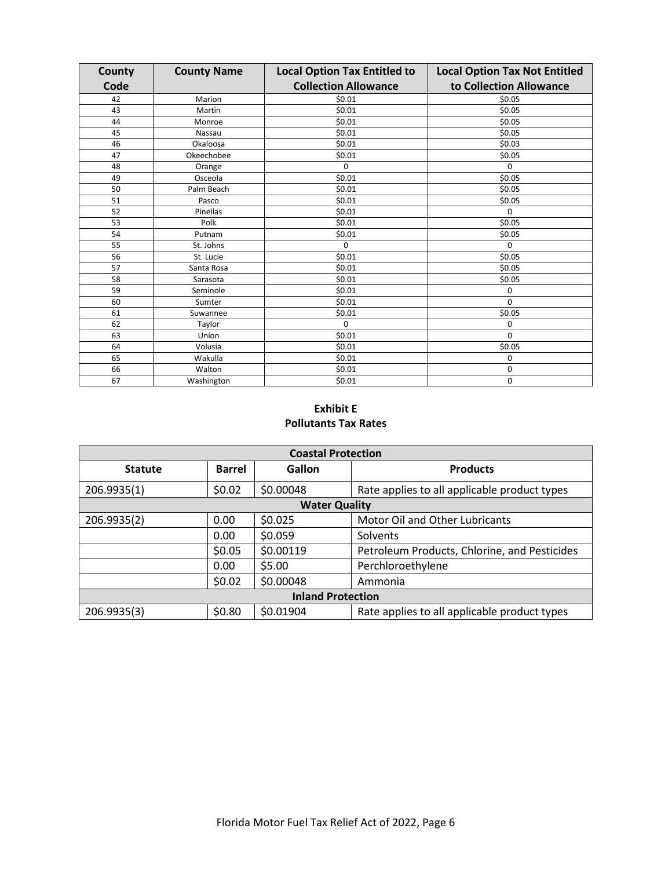| County | <b>County Name</b> | <b>Local Option Tax Entitled to</b> | <b>Local Option Tax Not Entitled</b> |
|--------|--------------------|-------------------------------------|--------------------------------------|
| Code   |                    | <b>Collection Allowance</b>         | to Collection Allowance              |
| 42     | Marion             | \$0.01                              | \$0.05                               |
| 43     | Martin             | \$0.01                              | \$0.05                               |
| 44     | Monroe             | \$0.01                              | \$0.05                               |
| 45     | Nassau             | \$0.01                              | \$0.05                               |
| 46     | Okaloosa           | \$0.01                              | \$0.03                               |
| 47     | Okeechobee         | \$0.01                              | \$0.05                               |
| 48     | Orange             | $\mathbf 0$                         | $\mathbf 0$                          |
| 49     | Osceola            | \$0.01                              | \$0.05                               |
| 50     | Palm Beach         | \$0.01                              | \$0.05                               |
| 51     | Pasco              | \$0.01                              | \$0.05                               |
| 52     | Pinellas           | \$0.01                              | 0                                    |
| 53     | Polk               | \$0.01                              | \$0.05                               |
| 54     | Putnam             | \$0.01                              | \$0.05                               |
| 55     | St. Johns          | 0                                   | $\mathbf 0$                          |
| 56     | St. Lucie          | \$0.01                              | \$0.05                               |
| 57     | Santa Rosa         | \$0.01                              | \$0.05                               |
| 58     | Sarasota           | \$0.01                              | \$0.05                               |
| 59     | Seminole           | \$0.01                              | $\mathbf 0$                          |
| 60     | Sumter             | \$0.01                              | 0                                    |
| 61     | Suwannee           | \$0.01                              | \$0.05                               |
| 62     | Taylor             | $\Omega$                            | 0                                    |
| 63     | Union              | \$0.01                              | $\Omega$                             |
| 64     | Volusia            | \$0.01                              | \$0.05                               |
| 65     | Wakulla            | \$0.01                              | 0                                    |
| 66     | Walton             | \$0.01                              | $\mathbf 0$                          |
| 67     | Washington         | \$0.01                              | 0                                    |

#### **Exhibit E Pollutants Tax Rates**

| <b>Coastal Protection</b> |               |                      |                                              |  |  |  |  |
|---------------------------|---------------|----------------------|----------------------------------------------|--|--|--|--|
| <b>Statute</b>            | <b>Barrel</b> | Gallon               | <b>Products</b>                              |  |  |  |  |
| 206.9935(1)               | \$0.02        | \$0.00048            | Rate applies to all applicable product types |  |  |  |  |
|                           |               | <b>Water Quality</b> |                                              |  |  |  |  |
| 206.9935(2)               | 0.00          | \$0.025              | Motor Oil and Other Lubricants               |  |  |  |  |
|                           | 0.00          | \$0.059              | Solvents                                     |  |  |  |  |
|                           | \$0.05        | \$0.00119            | Petroleum Products, Chlorine, and Pesticides |  |  |  |  |
|                           | 0.00          | \$5.00               | Perchloroethylene                            |  |  |  |  |
|                           | \$0.02        | \$0.00048            | Ammonia                                      |  |  |  |  |
| <b>Inland Protection</b>  |               |                      |                                              |  |  |  |  |
| 206.9935(3)               | \$0.80        | \$0.01904            | Rate applies to all applicable product types |  |  |  |  |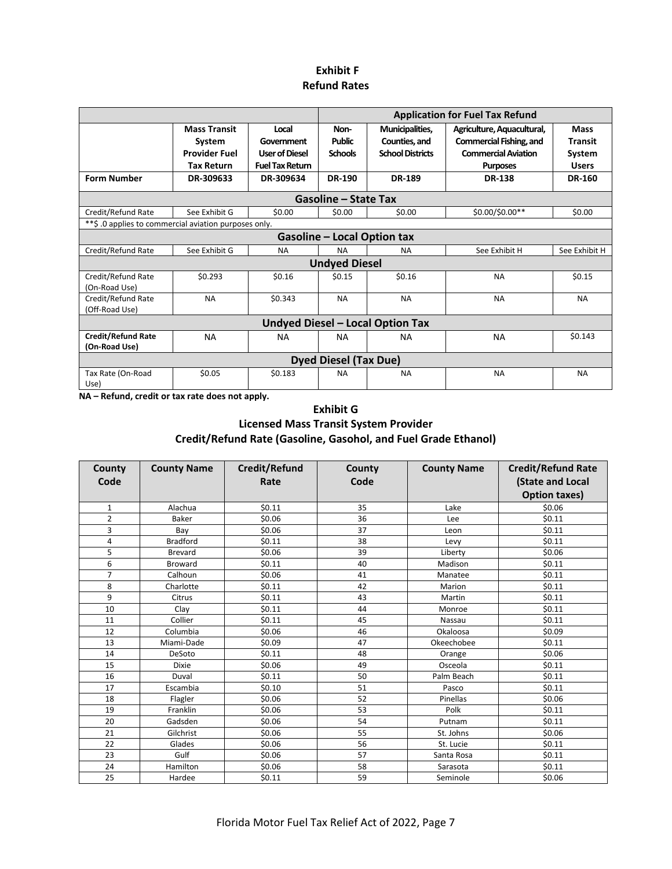#### **Exhibit F Refund Rates**

|                                            |                                                                                         |                                                                                     |                                                          |                                                                              | <b>Application for Fuel Tax Refund</b>                                                                                  |                                                                          |  |  |  |
|--------------------------------------------|-----------------------------------------------------------------------------------------|-------------------------------------------------------------------------------------|----------------------------------------------------------|------------------------------------------------------------------------------|-------------------------------------------------------------------------------------------------------------------------|--------------------------------------------------------------------------|--|--|--|
| <b>Form Number</b>                         | <b>Mass Transit</b><br>System<br><b>Provider Fuel</b><br><b>Tax Return</b><br>DR-309633 | Local<br>Government<br><b>User of Diesel</b><br><b>Fuel Tax Return</b><br>DR-309634 | Non-<br><b>Public</b><br><b>Schools</b><br><b>DR-190</b> | Municipalities,<br>Counties, and<br><b>School Districts</b><br><b>DR-189</b> | Agriculture, Aquacultural,<br>Commercial Fishing, and<br><b>Commercial Aviation</b><br><b>Purposes</b><br><b>DR-138</b> | <b>Mass</b><br><b>Transit</b><br>System<br><b>Users</b><br><b>DR-160</b> |  |  |  |
|                                            |                                                                                         |                                                                                     | <b>Gasoline – State Tax</b>                              |                                                                              |                                                                                                                         |                                                                          |  |  |  |
| Credit/Refund Rate                         | See Exhibit G                                                                           | \$0.00                                                                              | \$0.00                                                   | \$0.00                                                                       | \$0.00/\$0.00**                                                                                                         | \$0.00                                                                   |  |  |  |
|                                            | ** \$ .0 applies to commercial aviation purposes only.                                  |                                                                                     |                                                          |                                                                              |                                                                                                                         |                                                                          |  |  |  |
|                                            |                                                                                         |                                                                                     |                                                          | <b>Gasoline - Local Option tax</b>                                           |                                                                                                                         |                                                                          |  |  |  |
| Credit/Refund Rate                         | See Exhibit G                                                                           | <b>NA</b>                                                                           | <b>NA</b>                                                | <b>NA</b>                                                                    | See Exhibit H                                                                                                           | See Exhibit H                                                            |  |  |  |
|                                            |                                                                                         |                                                                                     | <b>Undyed Diesel</b>                                     |                                                                              |                                                                                                                         |                                                                          |  |  |  |
| Credit/Refund Rate<br>(On-Road Use)        | \$0.293                                                                                 | \$0.16                                                                              | \$0.15                                                   | \$0.16                                                                       | <b>NA</b>                                                                                                               | \$0.15                                                                   |  |  |  |
| Credit/Refund Rate<br>(Off-Road Use)       | <b>NA</b>                                                                               | \$0.343                                                                             | <b>NA</b>                                                | <b>NA</b>                                                                    | <b>NA</b>                                                                                                               | <b>NA</b>                                                                |  |  |  |
|                                            |                                                                                         |                                                                                     |                                                          | <b>Undyed Diesel - Local Option Tax</b>                                      |                                                                                                                         |                                                                          |  |  |  |
| <b>Credit/Refund Rate</b><br>(On-Road Use) | <b>NA</b>                                                                               | <b>NA</b>                                                                           | <b>NA</b>                                                | <b>NA</b>                                                                    | <b>NA</b>                                                                                                               | \$0.143                                                                  |  |  |  |
|                                            |                                                                                         |                                                                                     | <b>Dyed Diesel (Tax Due)</b>                             |                                                                              |                                                                                                                         |                                                                          |  |  |  |
| Tax Rate (On-Road<br>Use)                  | \$0.05                                                                                  | \$0.183                                                                             | <b>NA</b>                                                | <b>NA</b>                                                                    | <b>NA</b>                                                                                                               | <b>NA</b>                                                                |  |  |  |

**NA – Refund, credit or tax rate does not apply.** 

#### **Exhibit G**

#### **Licensed Mass Transit System Provider**

**Credit/Refund Rate (Gasoline, Gasohol, and Fuel Grade Ethanol)**

| County         | <b>County Name</b> | Credit/Refund | County | <b>County Name</b> | <b>Credit/Refund Rate</b> |
|----------------|--------------------|---------------|--------|--------------------|---------------------------|
| Code           |                    | Rate          | Code   |                    | (State and Local          |
|                |                    |               |        |                    | <b>Option taxes)</b>      |
| $\mathbf{1}$   | Alachua            | \$0.11        | 35     | Lake               | \$0.06                    |
| $\overline{2}$ | Baker              | \$0.06        | 36     | Lee                | \$0.11                    |
| 3              | Bay                | \$0.06        | 37     | Leon               | \$0.11                    |
| 4              | <b>Bradford</b>    | \$0.11        | 38     | Levy               | \$0.11                    |
| 5              | Brevard            | \$0.06        | 39     | Liberty            | \$0.06                    |
| 6              | <b>Broward</b>     | \$0.11        | 40     | Madison            | \$0.11                    |
| 7              | Calhoun            | \$0.06        | 41     | Manatee            | \$0.11                    |
| 8              | Charlotte          | \$0.11        | 42     | Marion             | \$0.11                    |
| 9              | Citrus             | \$0.11        | 43     | Martin             | \$0.11                    |
| 10             | Clav               | \$0.11        | 44     | Monroe             | \$0.11                    |
| 11             | Collier            | \$0.11        | 45     | Nassau             | \$0.11                    |
| 12             | Columbia           | \$0.06        | 46     | Okaloosa           | \$0.09                    |
| 13             | Miami-Dade         | \$0.09        | 47     | Okeechobee         | \$0.11                    |
| 14             | DeSoto             | \$0.11        | 48     | Orange             | \$0.06                    |
| 15             | <b>Dixie</b>       | \$0.06        | 49     | Osceola            | \$0.11                    |
| 16             | Duval              | \$0.11        | 50     | Palm Beach         | \$0.11                    |
| 17             | Escambia           | \$0.10        | 51     | Pasco              | \$0.11                    |
| 18             | Flagler            | \$0.06        | 52     | Pinellas           | \$0.06                    |
| 19             | Franklin           | \$0.06        | 53     | Polk               | \$0.11                    |
| 20             | Gadsden            | \$0.06        | 54     | Putnam             | \$0.11                    |
| 21             | Gilchrist          | \$0.06        | 55     | St. Johns          | \$0.06                    |
| 22             | Glades             | \$0.06        | 56     | St. Lucie          | \$0.11                    |
| 23             | Gulf               | \$0.06        | 57     | Santa Rosa         | \$0.11                    |
| 24             | Hamilton           | \$0.06        | 58     | Sarasota           | \$0.11                    |
| 25             | Hardee             | \$0.11        | 59     | Seminole           | \$0.06                    |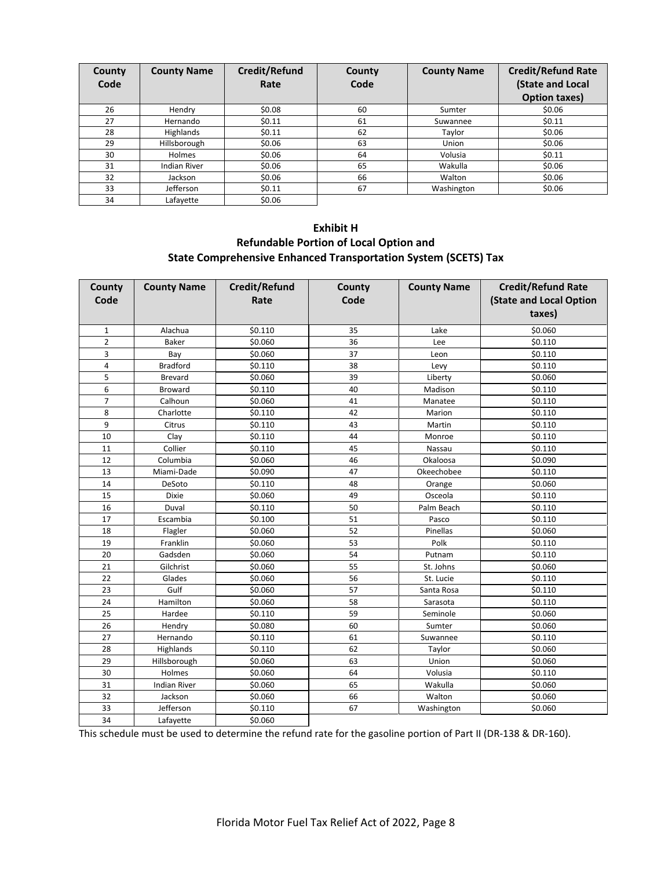| County<br>Code | <b>County Name</b>  | Credit/Refund<br>Rate | County<br>Code | <b>County Name</b> | <b>Credit/Refund Rate</b><br>(State and Local<br><b>Option taxes)</b> |
|----------------|---------------------|-----------------------|----------------|--------------------|-----------------------------------------------------------------------|
| 26             | Hendry              | \$0.08                | 60             | Sumter             | \$0.06                                                                |
| 27             | Hernando            | \$0.11                | 61             | Suwannee           | \$0.11                                                                |
| 28             | Highlands           | \$0.11                | 62             | Taylor             | \$0.06                                                                |
| 29             | Hillsborough        | \$0.06                | 63             | Union              | \$0.06                                                                |
| 30             | Holmes              | \$0.06                | 64             | Volusia            | \$0.11                                                                |
| 31             | <b>Indian River</b> | \$0.06                | 65             | Wakulla            | \$0.06                                                                |
| 32             | Jackson             | \$0.06                | 66             | Walton             | \$0.06                                                                |
| 33             | Jefferson           | \$0.11                | 67             | Washington         | \$0.06                                                                |
| 34             | Lafayette           | \$0.06                |                |                    |                                                                       |

# **Exhibit H Refundable Portion of Local Option and State Comprehensive Enhanced Transportation System (SCETS) Tax**

| County<br>Code | <b>County Name</b>  | Credit/Refund<br>Rate | County<br>Code | <b>County Name</b> | <b>Credit/Refund Rate</b><br>(State and Local Option<br>taxes) |
|----------------|---------------------|-----------------------|----------------|--------------------|----------------------------------------------------------------|
| 1              | Alachua             | \$0.110               | 35             | Lake               | \$0.060                                                        |
| $\overline{2}$ | Baker               | \$0.060               | 36             | Lee                | \$0.110                                                        |
| 3              | Bay                 | \$0.060               | 37             | Leon               | \$0.110                                                        |
| 4              | <b>Bradford</b>     | \$0.110               | 38             | Levy               | \$0.110                                                        |
| 5              | <b>Brevard</b>      | \$0.060               | 39             | Liberty            | \$0.060                                                        |
| 6              | Broward             | \$0.110               | 40             | Madison            | \$0.110                                                        |
| $\overline{7}$ | Calhoun             | \$0.060               | 41             | Manatee            | \$0.110                                                        |
| 8              | Charlotte           | \$0.110               | 42             | Marion             | \$0.110                                                        |
| 9              | Citrus              | \$0.110               | 43             | Martin             | \$0.110                                                        |
| 10             | Clay                | \$0.110               | 44             | Monroe             | \$0.110                                                        |
| 11             | Collier             | \$0.110               | 45             | Nassau             | \$0.110                                                        |
| 12             | Columbia            | \$0.060               | 46             | Okaloosa           | \$0.090                                                        |
| 13             | Miami-Dade          | \$0.090               | 47             | Okeechobee         | \$0.110                                                        |
| 14             | DeSoto              | \$0.110               | 48             | Orange             | \$0.060                                                        |
| 15             | Dixie               | \$0.060               | 49             | Osceola            | \$0.110                                                        |
| 16             | Duval               | \$0.110               | 50             | Palm Beach         | \$0.110                                                        |
| 17             | Escambia            | \$0.100               | 51             | Pasco              | \$0.110                                                        |
| 18             | Flagler             | \$0.060               | 52             | Pinellas           | \$0.060                                                        |
| 19             | Franklin            | \$0.060               | 53             | Polk               | \$0.110                                                        |
| 20             | Gadsden             | \$0.060               | 54             | Putnam             | \$0.110                                                        |
| 21             | Gilchrist           | \$0.060               | 55             | St. Johns          | \$0.060                                                        |
| 22             | Glades              | \$0.060               | 56             | St. Lucie          | \$0.110                                                        |
| 23             | Gulf                | \$0.060               | 57             | Santa Rosa         | \$0.110                                                        |
| 24             | Hamilton            | \$0.060               | 58             | Sarasota           | \$0.110                                                        |
| 25             | Hardee              | \$0.110               | 59             | Seminole           | \$0.060                                                        |
| 26             | Hendry              | \$0.080               | 60             | Sumter             | \$0.060                                                        |
| 27             | Hernando            | \$0.110               | 61             | Suwannee           | \$0.110                                                        |
| 28             | Highlands           | \$0.110               | 62             | Taylor             | \$0.060                                                        |
| 29             | Hillsborough        | \$0.060               | 63             | Union              | \$0.060                                                        |
| 30             | Holmes              | \$0.060               | 64             | Volusia            | \$0.110                                                        |
| 31             | <b>Indian River</b> | \$0.060               | 65             | Wakulla            | \$0.060                                                        |
| 32             | Jackson             | \$0.060               | 66             | Walton             | \$0.060                                                        |
| 33             | Jefferson           | \$0.110               | 67             | Washington         | \$0.060                                                        |
| 34             | Lafayette           | \$0.060               |                |                    |                                                                |

This schedule must be used to determine the refund rate for the gasoline portion of Part II (DR-138 & DR-160).